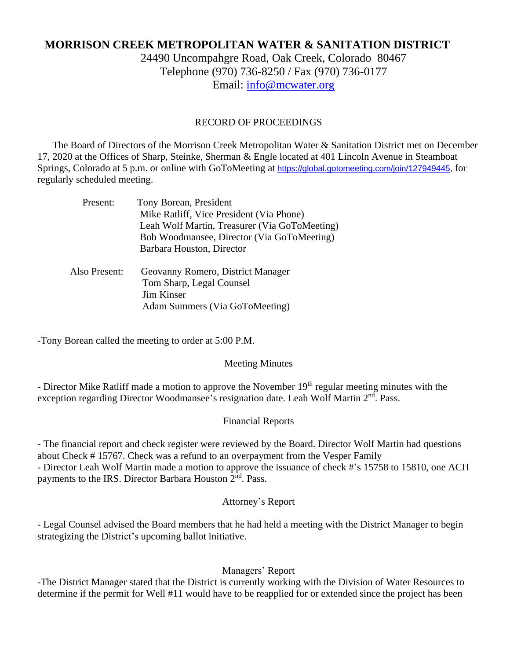# **MORRISON CREEK METROPOLITAN WATER & SANITATION DISTRICT**

24490 Uncompahgre Road, Oak Creek, Colorado 80467 Telephone (970) 736-8250 / Fax (970) 736-0177 Email: [info@mcwater.org](mailto:info@mcwater.org)

#### RECORD OF PROCEEDINGS

 The Board of Directors of the Morrison Creek Metropolitan Water & Sanitation District met on December 17, 2020 at the Offices of Sharp, Steinke, Sherman & Engle located at 401 Lincoln Avenue in Steamboat Springs, Colorado at 5 p.m. or online with GoToMeeting at [https://global.gotomeeting.com/join/127949445,](https://global.gotomeeting.com/join/127949445) for regularly scheduled meeting.

| Present:      | Tony Borean, President                        |
|---------------|-----------------------------------------------|
|               | Mike Ratliff, Vice President (Via Phone)      |
|               | Leah Wolf Martin, Treasurer (Via GoToMeeting) |
|               | Bob Woodmansee, Director (Via GoToMeeting)    |
|               | Barbara Houston, Director                     |
| Also Present: | Geovanny Romero, District Manager             |
|               | Tom Sharp, Legal Counsel                      |
|               | <b>Jim Kinser</b>                             |
|               | Adam Summers (Via GoToMeeting)                |
|               |                                               |

-Tony Borean called the meeting to order at 5:00 P.M.

#### Meeting Minutes

- Director Mike Ratliff made a motion to approve the November 19<sup>th</sup> regular meeting minutes with the exception regarding Director Woodmansee's resignation date. Leah Wolf Martin 2<sup>nd</sup>. Pass.

# Financial Reports

- The financial report and check register were reviewed by the Board. Director Wolf Martin had questions about Check # 15767. Check was a refund to an overpayment from the Vesper Family - Director Leah Wolf Martin made a motion to approve the issuance of check #'s 15758 to 15810, one ACH payments to the IRS. Director Barbara Houston 2<sup>nd</sup>. Pass.

#### Attorney's Report

- Legal Counsel advised the Board members that he had held a meeting with the District Manager to begin strategizing the District's upcoming ballot initiative.

# Managers' Report

-The District Manager stated that the District is currently working with the Division of Water Resources to determine if the permit for Well #11 would have to be reapplied for or extended since the project has been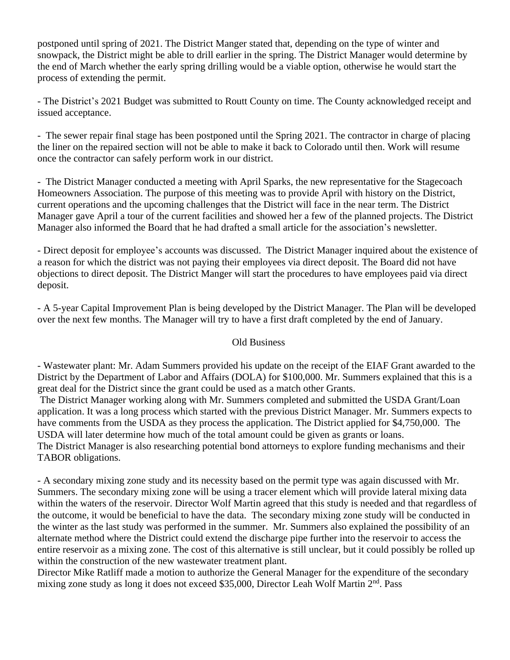postponed until spring of 2021. The District Manger stated that, depending on the type of winter and snowpack, the District might be able to drill earlier in the spring. The District Manager would determine by the end of March whether the early spring drilling would be a viable option, otherwise he would start the process of extending the permit.

- The District's 2021 Budget was submitted to Routt County on time. The County acknowledged receipt and issued acceptance.

- The sewer repair final stage has been postponed until the Spring 2021. The contractor in charge of placing the liner on the repaired section will not be able to make it back to Colorado until then. Work will resume once the contractor can safely perform work in our district.

- The District Manager conducted a meeting with April Sparks, the new representative for the Stagecoach Homeowners Association. The purpose of this meeting was to provide April with history on the District, current operations and the upcoming challenges that the District will face in the near term. The District Manager gave April a tour of the current facilities and showed her a few of the planned projects. The District Manager also informed the Board that he had drafted a small article for the association's newsletter.

- Direct deposit for employee's accounts was discussed. The District Manager inquired about the existence of a reason for which the district was not paying their employees via direct deposit. The Board did not have objections to direct deposit. The District Manger will start the procedures to have employees paid via direct deposit.

- A 5-year Capital Improvement Plan is being developed by the District Manager. The Plan will be developed over the next few months. The Manager will try to have a first draft completed by the end of January.

# Old Business

- Wastewater plant: Mr. Adam Summers provided his update on the receipt of the EIAF Grant awarded to the District by the Department of Labor and Affairs (DOLA) for \$100,000. Mr. Summers explained that this is a great deal for the District since the grant could be used as a match other Grants.

The District Manager working along with Mr. Summers completed and submitted the USDA Grant/Loan application. It was a long process which started with the previous District Manager. Mr. Summers expects to have comments from the USDA as they process the application. The District applied for \$4,750,000. The USDA will later determine how much of the total amount could be given as grants or loans. The District Manager is also researching potential bond attorneys to explore funding mechanisms and their TABOR obligations.

- A secondary mixing zone study and its necessity based on the permit type was again discussed with Mr. Summers. The secondary mixing zone will be using a tracer element which will provide lateral mixing data within the waters of the reservoir. Director Wolf Martin agreed that this study is needed and that regardless of the outcome, it would be beneficial to have the data. The secondary mixing zone study will be conducted in the winter as the last study was performed in the summer. Mr. Summers also explained the possibility of an alternate method where the District could extend the discharge pipe further into the reservoir to access the entire reservoir as a mixing zone. The cost of this alternative is still unclear, but it could possibly be rolled up within the construction of the new wastewater treatment plant.

Director Mike Ratliff made a motion to authorize the General Manager for the expenditure of the secondary mixing zone study as long it does not exceed \$35,000, Director Leah Wolf Martin 2<sup>nd</sup>. Pass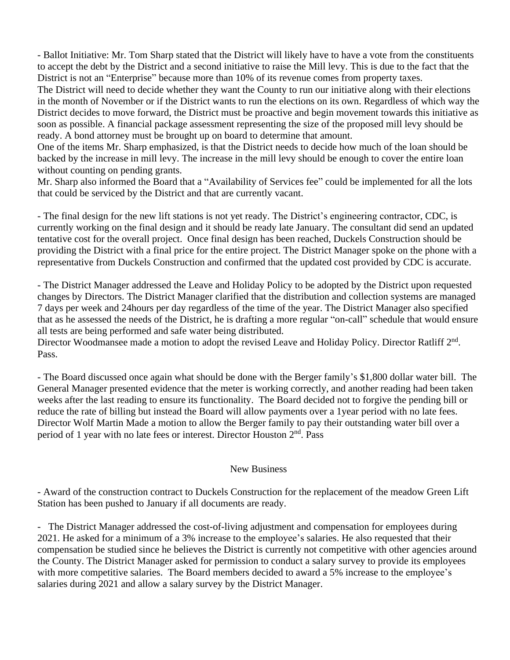- Ballot Initiative: Mr. Tom Sharp stated that the District will likely have to have a vote from the constituents to accept the debt by the District and a second initiative to raise the Mill levy. This is due to the fact that the District is not an "Enterprise" because more than 10% of its revenue comes from property taxes.

The District will need to decide whether they want the County to run our initiative along with their elections in the month of November or if the District wants to run the elections on its own. Regardless of which way the District decides to move forward, the District must be proactive and begin movement towards this initiative as soon as possible. A financial package assessment representing the size of the proposed mill levy should be ready. A bond attorney must be brought up on board to determine that amount.

One of the items Mr. Sharp emphasized, is that the District needs to decide how much of the loan should be backed by the increase in mill levy. The increase in the mill levy should be enough to cover the entire loan without counting on pending grants.

Mr. Sharp also informed the Board that a "Availability of Services fee" could be implemented for all the lots that could be serviced by the District and that are currently vacant.

- The final design for the new lift stations is not yet ready. The District's engineering contractor, CDC, is currently working on the final design and it should be ready late January. The consultant did send an updated tentative cost for the overall project. Once final design has been reached, Duckels Construction should be providing the District with a final price for the entire project. The District Manager spoke on the phone with a representative from Duckels Construction and confirmed that the updated cost provided by CDC is accurate.

- The District Manager addressed the Leave and Holiday Policy to be adopted by the District upon requested changes by Directors. The District Manager clarified that the distribution and collection systems are managed 7 days per week and 24hours per day regardless of the time of the year. The District Manager also specified that as he assessed the needs of the District, he is drafting a more regular "on-call" schedule that would ensure all tests are being performed and safe water being distributed.

Director Woodmansee made a motion to adopt the revised Leave and Holiday Policy. Director Ratliff 2<sup>nd</sup>. Pass.

- The Board discussed once again what should be done with the Berger family's \$1,800 dollar water bill. The General Manager presented evidence that the meter is working correctly, and another reading had been taken weeks after the last reading to ensure its functionality. The Board decided not to forgive the pending bill or reduce the rate of billing but instead the Board will allow payments over a 1year period with no late fees. Director Wolf Martin Made a motion to allow the Berger family to pay their outstanding water bill over a period of 1 year with no late fees or interest. Director Houston 2<sup>nd</sup>. Pass

# New Business

- Award of the construction contract to Duckels Construction for the replacement of the meadow Green Lift Station has been pushed to January if all documents are ready.

- The District Manager addressed the cost-of-living adjustment and compensation for employees during 2021. He asked for a minimum of a 3% increase to the employee's salaries. He also requested that their compensation be studied since he believes the District is currently not competitive with other agencies around the County. The District Manager asked for permission to conduct a salary survey to provide its employees with more competitive salaries. The Board members decided to award a 5% increase to the employee's salaries during 2021 and allow a salary survey by the District Manager.